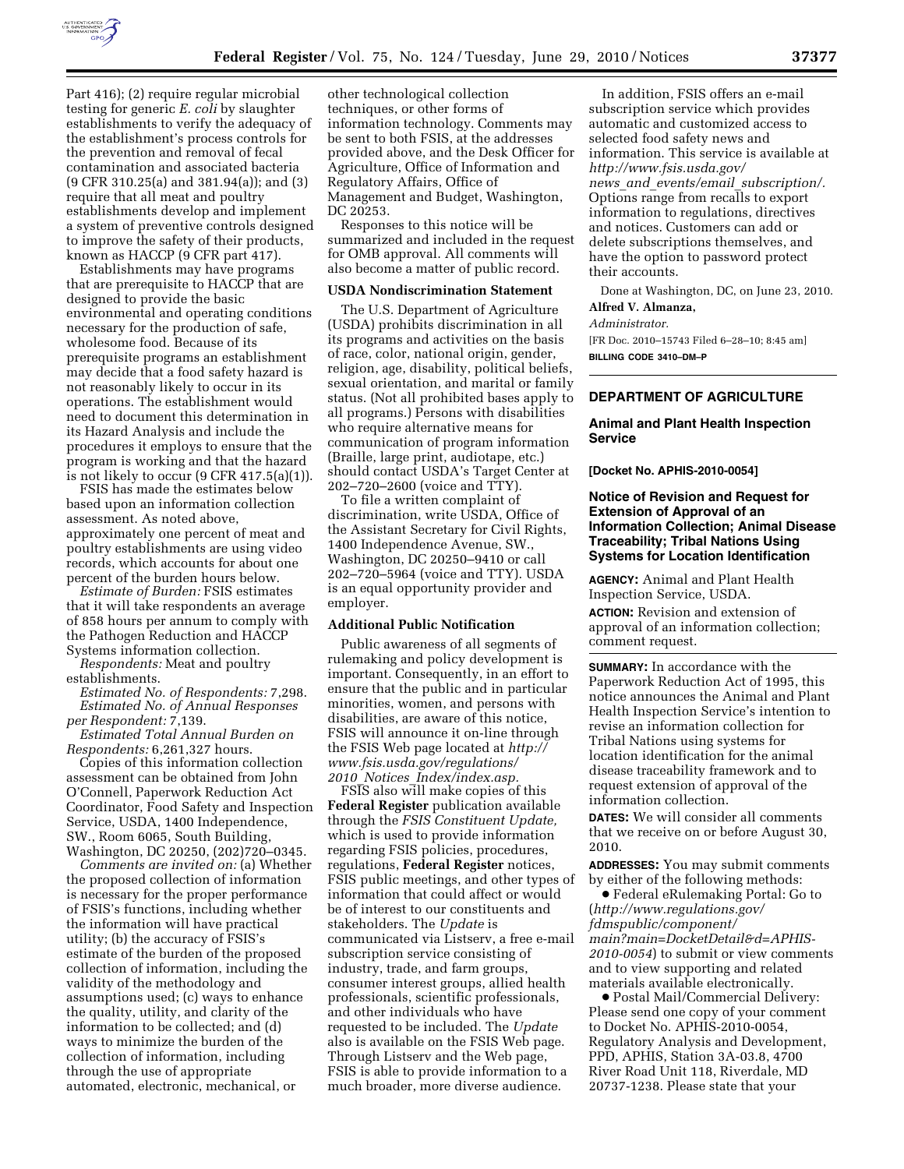

Part 416); (2) require regular microbial testing for generic *E. coli* by slaughter establishments to verify the adequacy of the establishment's process controls for the prevention and removal of fecal contamination and associated bacteria (9 CFR 310.25(a) and 381.94(a)); and (3) require that all meat and poultry establishments develop and implement a system of preventive controls designed to improve the safety of their products, known as HACCP (9 CFR part 417).

Establishments may have programs that are prerequisite to HACCP that are designed to provide the basic environmental and operating conditions necessary for the production of safe, wholesome food. Because of its prerequisite programs an establishment may decide that a food safety hazard is not reasonably likely to occur in its operations. The establishment would need to document this determination in its Hazard Analysis and include the procedures it employs to ensure that the program is working and that the hazard is not likely to occur  $(9$  CFR 417.5(a)(1)).

FSIS has made the estimates below based upon an information collection assessment. As noted above, approximately one percent of meat and poultry establishments are using video records, which accounts for about one percent of the burden hours below.

*Estimate of Burden:* FSIS estimates that it will take respondents an average of 858 hours per annum to comply with the Pathogen Reduction and HACCP Systems information collection.

*Respondents:* Meat and poultry establishments.

*Estimated No. of Respondents:* 7,298. *Estimated No. of Annual Responses per Respondent:* 7,139.

*Estimated Total Annual Burden on Respondents:* 6,261,327 hours.

Copies of this information collection assessment can be obtained from John O'Connell, Paperwork Reduction Act Coordinator, Food Safety and Inspection Service, USDA, 1400 Independence, SW., Room 6065, South Building, Washington, DC 20250, (202)720–0345.

*Comments are invited on:* (a) Whether the proposed collection of information is necessary for the proper performance of FSIS's functions, including whether the information will have practical utility; (b) the accuracy of FSIS's estimate of the burden of the proposed collection of information, including the validity of the methodology and assumptions used; (c) ways to enhance the quality, utility, and clarity of the information to be collected; and (d) ways to minimize the burden of the collection of information, including through the use of appropriate automated, electronic, mechanical, or

other technological collection techniques, or other forms of information technology. Comments may be sent to both FSIS, at the addresses provided above, and the Desk Officer for Agriculture, Office of Information and Regulatory Affairs, Office of Management and Budget, Washington, DC 20253.

Responses to this notice will be summarized and included in the request for OMB approval. All comments will also become a matter of public record.

### **USDA Nondiscrimination Statement**

The U.S. Department of Agriculture (USDA) prohibits discrimination in all its programs and activities on the basis of race, color, national origin, gender, religion, age, disability, political beliefs, sexual orientation, and marital or family status. (Not all prohibited bases apply to all programs.) Persons with disabilities who require alternative means for communication of program information (Braille, large print, audiotape, etc.) should contact USDA's Target Center at 202–720–2600 (voice and TTY).

To file a written complaint of discrimination, write USDA, Office of the Assistant Secretary for Civil Rights, 1400 Independence Avenue, SW., Washington, DC 20250–9410 or call 202–720–5964 (voice and TTY). USDA is an equal opportunity provider and employer.

### **Additional Public Notification**

Public awareness of all segments of rulemaking and policy development is important. Consequently, in an effort to ensure that the public and in particular minorities, women, and persons with disabilities, are aware of this notice, FSIS will announce it on-line through the FSIS Web page located at *http:// www.fsis.usda.gov/regulations/ 2010*\_*Notices*\_*Index/index.asp.* 

FSIS also will make copies of this **Federal Register** publication available through the *FSIS Constituent Update,*  which is used to provide information regarding FSIS policies, procedures, regulations, **Federal Register** notices, FSIS public meetings, and other types of information that could affect or would be of interest to our constituents and stakeholders. The *Update* is communicated via Listserv, a free e-mail subscription service consisting of industry, trade, and farm groups, consumer interest groups, allied health professionals, scientific professionals, and other individuals who have requested to be included. The *Update*  also is available on the FSIS Web page. Through Listserv and the Web page, FSIS is able to provide information to a much broader, more diverse audience.

In addition, FSIS offers an e-mail subscription service which provides automatic and customized access to selected food safety news and information. This service is available at *http://www.fsis.usda.gov/ news*\_*and*\_*events/email*\_*subscription/.*  Options range from recalls to export information to regulations, directives and notices. Customers can add or delete subscriptions themselves, and have the option to password protect their accounts.

Done at Washington, DC, on June 23, 2010. **Alfred V. Almanza,** 

#### *Administrator.*

[FR Doc. 2010–15743 Filed 6–28–10; 8:45 am] **BILLING CODE 3410–DM–P** 

# **DEPARTMENT OF AGRICULTURE**

# **Animal and Plant Health Inspection Service**

**[Docket No. APHIS-2010-0054]** 

# **Notice of Revision and Request for Extension of Approval of an Information Collection; Animal Disease Traceability; Tribal Nations Using Systems for Location Identification**

**AGENCY:** Animal and Plant Health Inspection Service, USDA.

**ACTION:** Revision and extension of approval of an information collection; comment request.

**SUMMARY:** In accordance with the Paperwork Reduction Act of 1995, this notice announces the Animal and Plant Health Inspection Service's intention to revise an information collection for Tribal Nations using systems for location identification for the animal disease traceability framework and to request extension of approval of the information collection.

**DATES:** We will consider all comments that we receive on or before August 30, 2010.

**ADDRESSES:** You may submit comments by either of the following methods:

∑ Federal eRulemaking Portal: Go to (*http://www.regulations.gov/ fdmspublic/component/ main?main=DocketDetail&d=APHIS-2010-0054*) to submit or view comments and to view supporting and related materials available electronically.

∑ Postal Mail/Commercial Delivery: Please send one copy of your comment to Docket No. APHIS-2010-0054, Regulatory Analysis and Development, PPD, APHIS, Station 3A-03.8, 4700 River Road Unit 118, Riverdale, MD 20737-1238. Please state that your